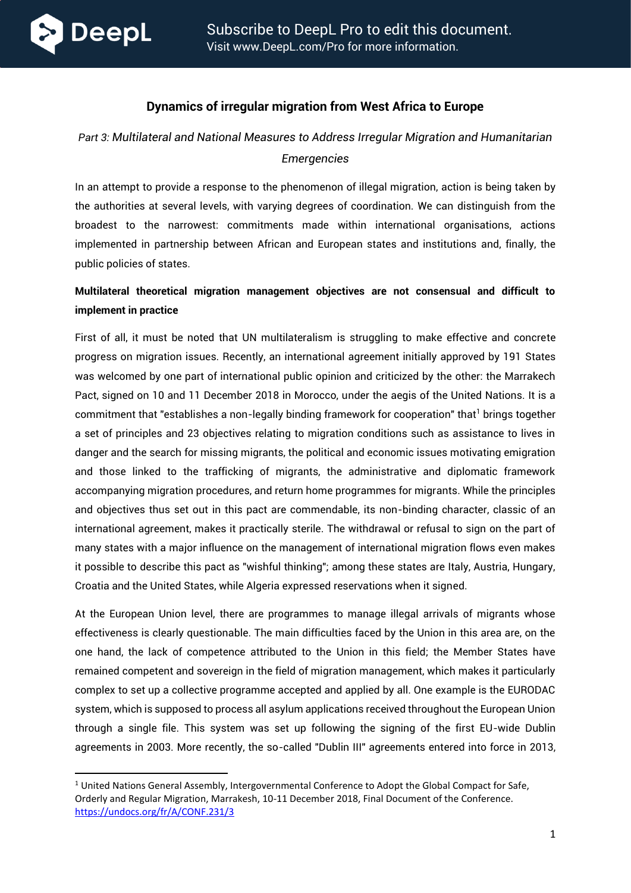

### **Dynamics of irregular migration from West Africa to Europe**

# *Part 3: Multilateral and National Measures to Address Irregular Migration and Humanitarian Emergencies*

In an attempt to provide a response to the phenomenon of illegal migration, action is being taken by the authorities at several levels, with varying degrees of coordination. We can distinguish from the broadest to the narrowest: commitments made within international organisations, actions implemented in partnership between African and European states and institutions and, finally, the public policies of states.

## **Multilateral theoretical migration management objectives are not consensual and difficult to implement in practice**

First of all, it must be noted that UN multilateralism is struggling to make effective and concrete progress on migration issues. Recently, an international agreement initially approved by 191 States was welcomed by one part of international public opinion and criticized by the other: the Marrakech Pact, signed on 10 and 11 December 2018 in Morocco, under the aegis of the United Nations. It is a commitment that "establishes a non-legally binding framework for cooperation" that<sup>1</sup> brings together a set of principles and 23 objectives relating to migration conditions such as assistance to lives in danger and the search for missing migrants, the political and economic issues motivating emigration and those linked to the trafficking of migrants, the administrative and diplomatic framework accompanying migration procedures, and return home programmes for migrants. While the principles and objectives thus set out in this pact are commendable, its non-binding character, classic of an international agreement, makes it practically sterile. The withdrawal or refusal to sign on the part of many states with a major influence on the management of international migration flows even makes it possible to describe this pact as "wishful thinking"; among these states are Italy, Austria, Hungary, Croatia and the United States, while Algeria expressed reservations when it signed.

At the European Union level, there are programmes to manage illegal arrivals of migrants whose effectiveness is clearly questionable. The main difficulties faced by the Union in this area are, on the one hand, the lack of competence attributed to the Union in this field; the Member States have remained competent and sovereign in the field of migration management, which makes it particularly complex to set up a collective programme accepted and applied by all. One example is the EURODAC system, which is supposed to process all asylum applications received throughout the European Union through a single file. This system was set up following the signing of the first EU-wide Dublin agreements in 2003. More recently, the so-called "Dublin III" agreements entered into force in 2013,

 $1$  United Nations General Assembly, Intergovernmental Conference to Adopt the Global Compact for Safe, Orderly and Regular Migration, Marrakesh, 10-11 December 2018, Final Document of the Conference. <https://undocs.org/fr/A/CONF.231/3>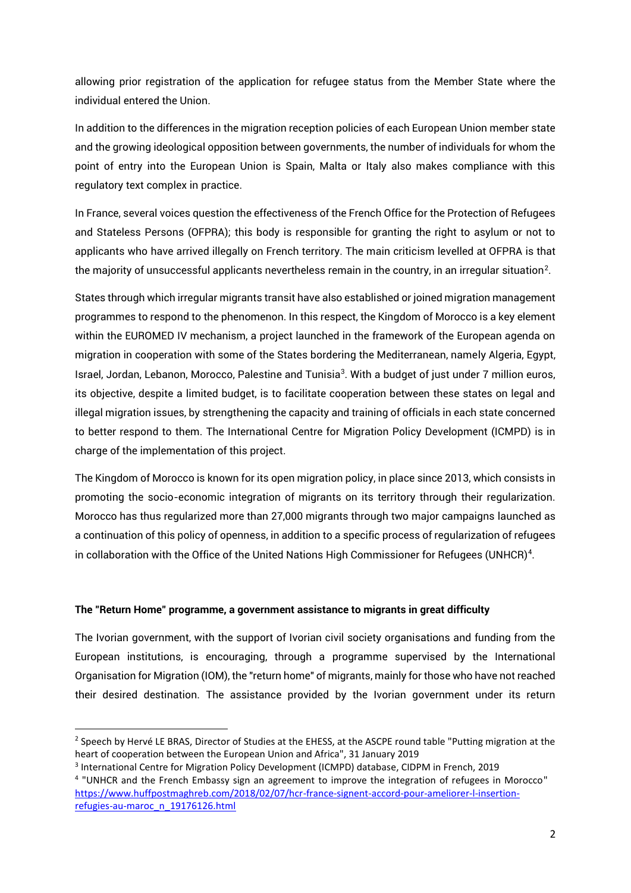allowing prior registration of the application for refugee status from the Member State where the individual entered the Union.

In addition to the differences in the migration reception policies of each European Union member state and the growing ideological opposition between governments, the number of individuals for whom the point of entry into the European Union is Spain, Malta or Italy also makes compliance with this regulatory text complex in practice.

In France, several voices question the effectiveness of the French Office for the Protection of Refugees and Stateless Persons (OFPRA); this body is responsible for granting the right to asylum or not to applicants who have arrived illegally on French territory. The main criticism levelled at OFPRA is that the majority of unsuccessful applicants nevertheless remain in the country, in an irregular situation $^2$ .

States through which irregular migrants transit have also established or joined migration management programmes to respond to the phenomenon. In this respect, the Kingdom of Morocco is a key element within the EUROMED IV mechanism, a project launched in the framework of the European agenda on migration in cooperation with some of the States bordering the Mediterranean, namely Algeria, Egypt, Israel, Jordan, Lebanon, Morocco, Palestine and Tunisia<sup>3</sup>. With a budget of just under 7 million euros, its objective, despite a limited budget, is to facilitate cooperation between these states on legal and illegal migration issues, by strengthening the capacity and training of officials in each state concerned to better respond to them. The International Centre for Migration Policy Development (ICMPD) is in charge of the implementation of this project.

The Kingdom of Morocco is known for its open migration policy, in place since 2013, which consists in promoting the socio-economic integration of migrants on its territory through their regularization. Morocco has thus regularized more than 27,000 migrants through two major campaigns launched as a continuation of this policy of openness, in addition to a specific process of regularization of refugees in collaboration with the Office of the United Nations High Commissioner for Refugees (UNHCR) $4$ .

#### **The "Return Home" programme, a government assistance to migrants in great difficulty**

The Ivorian government, with the support of Ivorian civil society organisations and funding from the European institutions, is encouraging, through a programme supervised by the International Organisation for Migration (IOM), the "return home" of migrants, mainly for those who have not reached their desired destination. The assistance provided by the Ivorian government under its return

<sup>&</sup>lt;sup>2</sup> Speech by Hervé LE BRAS, Director of Studies at the EHESS, at the ASCPE round table "Putting migration at the heart of cooperation between the European Union and Africa", 31 January 2019

<sup>&</sup>lt;sup>3</sup> International Centre for Migration Policy Development (ICMPD) database, CIDPM in French, 2019

<sup>&</sup>lt;sup>4</sup> "UNHCR and the French Embassy sign an agreement to improve the integration of refugees in Morocco" [https://www.huffpostmaghreb.com/2018/02/07/hcr-france-signent-accord-pour-ameliorer-l-insertion](https://www.huffpostmaghreb.com/2018/02/07/hcr-france-signent-accord-pour-ameliorer-l-insertion-refugies-au-maroc_n_19176126.html)[refugies-au-maroc\\_n\\_19176126.html](https://www.huffpostmaghreb.com/2018/02/07/hcr-france-signent-accord-pour-ameliorer-l-insertion-refugies-au-maroc_n_19176126.html)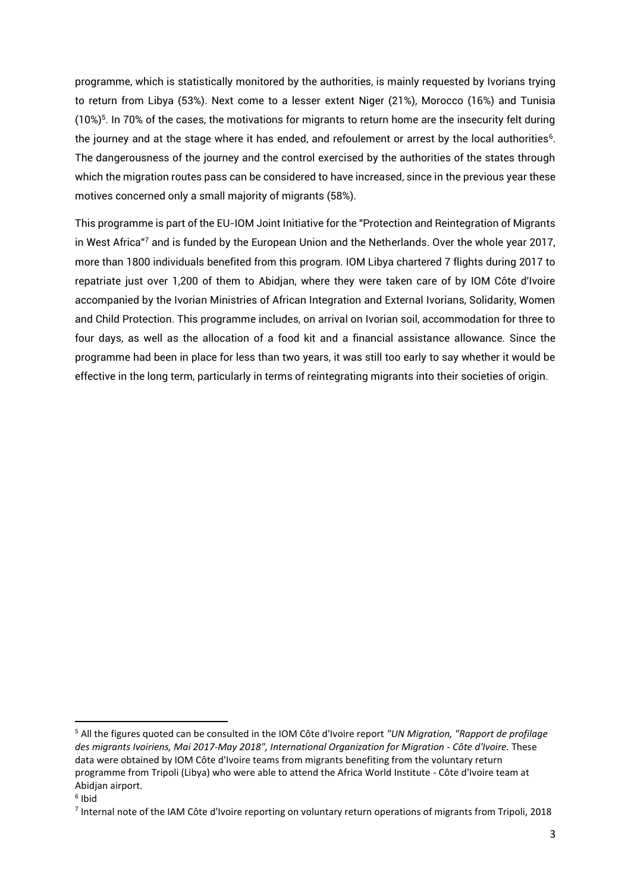programme, which is statistically monitored by the authorities, is mainly requested by Ivorians trying to return from Libya (53%). Next come to a lesser extent Niger (21%), Morocco (16%) and Tunisia  $(10%)<sup>5</sup>$ . In 70% of the cases, the motivations for migrants to return home are the insecurity felt during the journey and at the stage where it has ended, and refoulement or arrest by the local authorities $\rm ^6$ . The dangerousness of the journey and the control exercised by the authorities of the states through which the migration routes pass can be considered to have increased, since in the previous year these motives concerned only a small majority of migrants (58%).

This programme is part of the EU-IOM Joint Initiative for the "Protection and Reintegration of Migrants in West Africa"<sup>7</sup> and is funded by the European Union and the Netherlands. Over the whole year 2017, more than 1800 individuals benefited from this program. IOM Libya chartered 7 flights during 2017 to repatriate just over 1,200 of them to Abidjan, where they were taken care of by IOM Côte d'Ivoire accompanied by the Ivorian Ministries of African Integration and External Ivorians, Solidarity, Women and Child Protection. This programme includes, on arrival on Ivorian soil, accommodation for three to four days, as well as the allocation of a food kit and a financial assistance allowance. Since the programme had been in place for less than two years, it was still too early to say whether it would be effective in the long term, particularly in terms of reintegrating migrants into their societies of origin.

<sup>5</sup> All the figures quoted can be consulted in the IOM Côte d'Ivoire report *"UN Migration, "Rapport de profilage des migrants Ivoiriens, Mai 2017-May 2018", International Organization for Migration - Côte d'Ivoire.* These data were obtained by IOM Côte d'Ivoire teams from migrants benefiting from the voluntary return programme from Tripoli (Libya) who were able to attend the Africa World Institute - Côte d'Ivoire team at Abidian airport.

<sup>6</sup> Ibid

<sup>&</sup>lt;sup>7</sup> Internal note of the IAM Côte d'Ivoire reporting on voluntary return operations of migrants from Tripoli, 2018